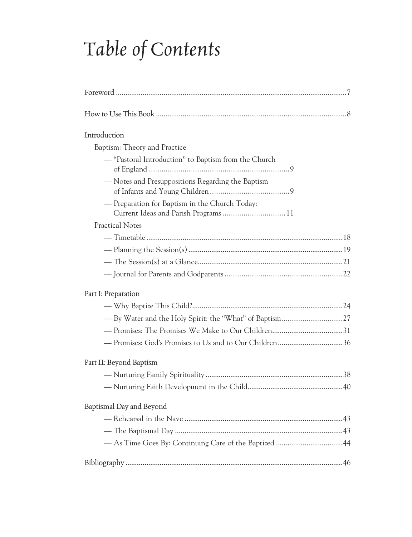# *Table of Contents*

| Introduction                                         |
|------------------------------------------------------|
| Baptism: Theory and Practice                         |
| - "Pastoral Introduction" to Baptism from the Church |
| - Notes and Presuppositions Regarding the Baptism    |
| - Preparation for Baptism in the Church Today:       |
| <b>Practical Notes</b>                               |
|                                                      |
|                                                      |
|                                                      |
|                                                      |
| Part I: Preparation                                  |
|                                                      |
|                                                      |
|                                                      |
|                                                      |
| Part II: Beyond Baptism                              |
|                                                      |
|                                                      |
| Baptismal Day and Beyond                             |
|                                                      |
|                                                      |
|                                                      |
|                                                      |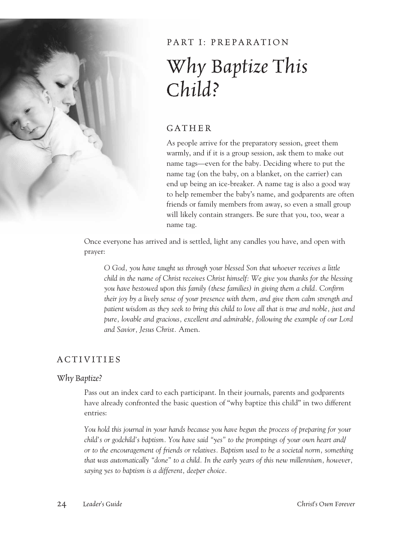

# PART I: PREPARATION *Why Baptize This Child?*

## GATHER

As people arrive for the preparatory session, greet them warmly, and if it is a group session, ask them to make out name tags—even for the baby. Deciding where to put the name tag (on the baby, on a blanket, on the carrier) can end up being an ice-breaker. A name tag is also a good way to help remember the baby's name, and godparents are often friends or family members from away, so even a small group will likely contain strangers. Be sure that you, too, wear a name tag.

Once everyone has arrived and is settled, light any candles you have, and open with prayer:

*O God, you have taught us through your blessed Son that whoever receives a little child in the name of Christ receives Christ himself: We give you thanks for the blessing you have bestowed upon this family (these families) in giving them a child. Confirm their joy by a lively sense of your presence with them, and give them calm strength and patient wisdom as they seek to bring this child to love all that is true and noble, just and pure, lovable and gracious, excellent and admirable, following the example of our Lord and Savior, Jesus Christ.* Amen.

### **ACTIVITIES**

#### *Why Baptize?*

Pass out an index card to each participant. In their journals, parents and godparents have already confronted the basic question of "why baptize this child" in two different entries:

*You hold this journal in your hands because you have begun the process of preparing for your child's or godchild's baptism. You have said "yes" to the promptings of your own heart and/ or to the encouragement of friends or relatives. Baptism used to be a societal norm, something that was automatically "done" to a child. In the early years of this new millennium, however, saying yes to baptism is a different, deeper choice.*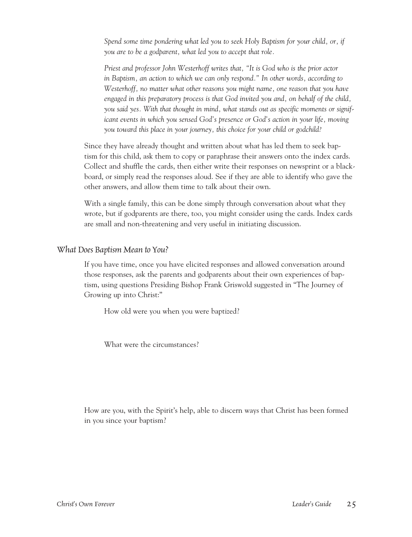*Spend some time pondering what led you to seek Holy Baptism for your child, or, if you are to be a godparent, what led you to accept that role.*

*Priest and professor John Westerhoff writes that, "It is God who is the prior actor*  in Baptism, an action to which we can only respond." In other words, according to *Westerhoff, no matter what other reasons you might name, one reason that you have engaged in this preparatory process is that God invited you and, on behalf of the child, you said yes. With that thought in mind, what stands out as specific moments or significant events in which you sensed God's presence or God's action in your life, moving you toward this place in your journey, this choice for your child or godchild?*

Since they have already thought and written about what has led them to seek baptism for this child, ask them to copy or paraphrase their answers onto the index cards. Collect and shuffle the cards, then either write their responses on newsprint or a blackboard, or simply read the responses aloud. See if they are able to identify who gave the other answers, and allow them time to talk about their own.

With a single family, this can be done simply through conversation about what they wrote, but if godparents are there, too, you might consider using the cards. Index cards are small and non-threatening and very useful in initiating discussion.

#### *What Does Baptism Mean to You?*

If you have time, once you have elicited responses and allowed conversation around those responses, ask the parents and godparents about their own experiences of baptism, using questions Presiding Bishop Frank Griswold suggested in "The Journey of Growing up into Christ:"

How old were you when you were baptized?

What were the circumstances?

How are you, with the Spirit's help, able to discern ways that Christ has been formed in you since your baptism?